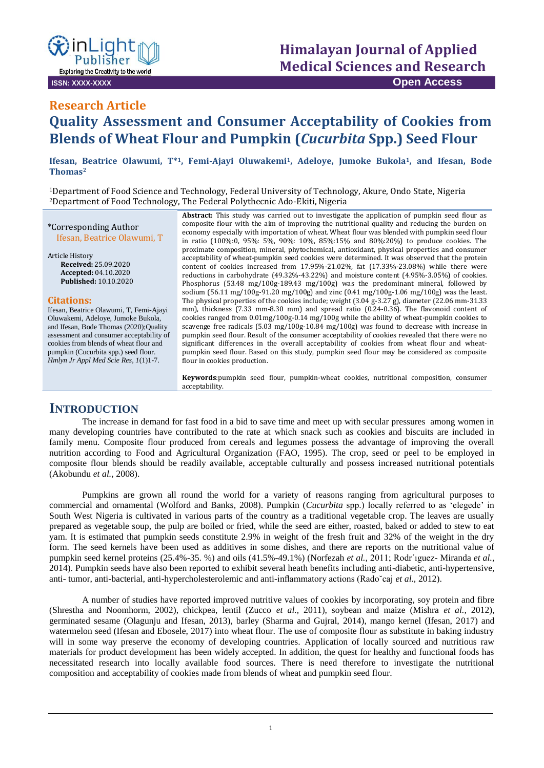

**ISSN: XXXX-XXXX Open Access**

# **Research Article**

# **Quality Assessment and Consumer Acceptability of Cookies from Blends of Wheat Flour and Pumpkin (***Cucurbita* **Spp.) Seed Flour**

**Ifesan, Beatrice Olawumi, T\*1, Femi-Ajayi Oluwakemi1, Adeloye, Jumoke Bukola1, and Ifesan, Bode Thomas<sup>2</sup>**

<sup>1</sup>Department of Food Science and Technology, Federal University of Technology, Akure, Ondo State, Nigeria <sup>2</sup>Department of Food Technology, The Federal Polythecnic Ado-Ekiti, Nigeria

\*Corresponding Author Ifesan, Beatrice Olawumi, T

Article History **Received:** 25.09.2020 **Accepted:** 04.10.2020 **Published:** 10.10.2020

#### **Citations:**

Ifesan, Beatrice Olawumi, T, Femi-Ajayi Oluwakemi, Adeloye, Jumoke Bukola, and Ifesan, Bode Thomas (2020);Quality assessment and consumer acceptability of cookies from blends of wheat flour and pumpkin (Cucurbita spp.) seed flour. *Hmlyn Jr Appl Med Scie Res, 1*(1)1-7.

**Abstract:** This study was carried out to investigate the application of pumpkin seed flour as composite flour with the aim of improving the nutritional quality and reducing the burden on economy especially with importation of wheat. Wheat flour was blended with pumpkin seed flour in ratio (100%:0, 95%: 5%, 90%: 10%, 85%:15% and 80%:20%) to produce cookies. The proximate composition, mineral, phytochemical, antioxidant, physical properties and consumer acceptability of wheat-pumpkin seed cookies were determined. It was observed that the protein content of cookies increased from 17.95%-21.02%, fat (17.33%-23.08%) while there were reductions in carbohydrate (49.32%-43.22%) and moisture content (4.95%-3.05%) of cookies. Phosphorus (53.48 mg/100g-189.43 mg/100g) was the predominant mineral, followed by sodium (56.11 mg/100g-91.20 mg/100g) and zinc (0.41 mg/100g-1.06 mg/100g) was the least. The physical properties of the cookies include; weight  $(3.04 \text{ g} \cdot 3.27 \text{ g})$ , diameter (22.06 mm-31.33) mm), thickness (7.33 mm-8.30 mm) and spread ratio (0.24-0.36). The flavonoid content of cookies ranged from  $0.01$ mg/100g-0.14 mg/100g while the ability of wheat-pumpkin cookies to scavenge free radicals (5.03 mg/100g-10.84 mg/100g) was found to decrease with increase in pumpkin seed flour. Result of the consumer acceptability of cookies revealed that there were no significant differences in the overall acceptability of cookies from wheat flour and wheatpumpkin seed flour. Based on this study, pumpkin seed flour may be considered as composite flour in cookies production.

**Keywords**:pumpkin seed flour, pumpkin-wheat cookies, nutritional composition, consumer acceptability.

## **INTRODUCTION**

The increase in demand for fast food in a bid to save time and meet up with secular pressures among women in many developing countries have contributed to the rate at which snack such as cookies and biscuits are included in family menu. Composite flour produced from cereals and legumes possess the advantage of improving the overall nutrition according to Food and Agricultural Organization (FAO, 1995). The crop, seed or peel to be employed in composite flour blends should be readily available, acceptable culturally and possess increased nutritional potentials (Akobundu *et al.,* 2008).

Pumpkins are grown all round the world for a variety of reasons ranging from agricultural purposes to commercial and ornamental (Wolford and Banks*,* 2008). Pumpkin (*Cucurbita* spp.) locally referred to as 'elegede' in South West Nigeria is cultivated in various parts of the country as a traditional vegetable crop. The leaves are usually prepared as vegetable soup, the pulp are boiled or fried, while the seed are either, roasted, baked or added to stew to eat yam. It is estimated that pumpkin seeds constitute 2.9% in weight of the fresh fruit and 32% of the weight in the dry form. The seed kernels have been used as additives in some dishes, and there are reports on the nutritional value of pumpkin seed kernel proteins (25.4%-35. %) and oils (41.5%-49.1%) (Norfezah *et al.,* 2011; Rodr´ıguez- Miranda *et al.,* 2014). Pumpkin seeds have also been reported to exhibit several heath benefits including anti-diabetic, anti-hypertensive, anti- tumor, anti-bacterial, anti-hypercholesterolemic and anti-inflammatory actions (Rado˘caj *et al.,* 2012).

A number of studies have reported improved nutritive values of cookies by incorporating, soy protein and fibre (Shrestha and Noomhorm, 2002), chickpea, lentil (Zucco *et al.,* 2011), soybean and maize (Mishra *et al.,* 2012), germinated sesame (Olagunju and Ifesan, 2013), barley (Sharma and Gujral, 2014), mango kernel (Ifesan, 2017) and watermelon seed (Ifesan and Ebosele, 2017) into wheat flour. The use of composite flour as substitute in baking industry will in some way preserve the economy of developing countries. Application of locally sourced and nutritious raw materials for product development has been widely accepted. In addition, the quest for healthy and functional foods has necessitated research into locally available food sources. There is need therefore to investigate the nutritional composition and acceptability of cookies made from blends of wheat and pumpkin seed flour.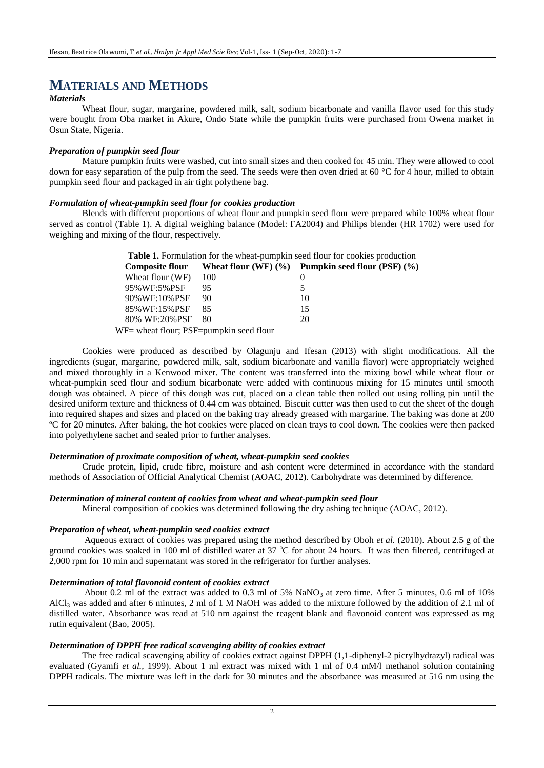# **MATERIALS AND METHODS**

#### *Materials*

Wheat flour, sugar, margarine, powdered milk, salt, sodium bicarbonate and vanilla flavor used for this study were bought from Oba market in Akure, Ondo State while the pumpkin fruits were purchased from Owena market in Osun State, Nigeria.

#### *Preparation of pumpkin seed flour*

Mature pumpkin fruits were washed, cut into small sizes and then cooked for 45 min. They were allowed to cool down for easy separation of the pulp from the seed. The seeds were then oven dried at 60 °C for 4 hour, milled to obtain pumpkin seed flour and packaged in air tight polythene bag.

#### *Formulation of wheat-pumpkin seed flour for cookies production*

Blends with different proportions of wheat flour and pumpkin seed flour were prepared while 100% wheat flour served as control (Table 1). A digital weighing balance (Model: FA2004) and Philips blender (HR 1702) were used for weighing and mixing of the flour, respectively.

| <b>Table 1.</b> Formulation for the wheat-pumpkin seed flour for cookies production    |     |    |  |  |  |  |
|----------------------------------------------------------------------------------------|-----|----|--|--|--|--|
| Wheat flour $(WF)(\%)$<br>Pumpkin seed flour $(PSF)$ $(\% )$<br><b>Composite flour</b> |     |    |  |  |  |  |
| Wheat flour (WF)                                                                       | 100 |    |  |  |  |  |
| 95%WF:5%PSF                                                                            | 95  |    |  |  |  |  |
| 90%WF:10%PSF                                                                           | 90  | 10 |  |  |  |  |
| 85% WF:15% PSF                                                                         | 85  | 15 |  |  |  |  |
| 80% WF:20%PSF                                                                          | 80  | 20 |  |  |  |  |

WF= wheat flour; PSF=pumpkin seed flour

Cookies were produced as described by Olagunju and Ifesan (2013) with slight modifications. All the ingredients (sugar, margarine, powdered milk, salt, sodium bicarbonate and vanilla flavor) were appropriately weighed and mixed thoroughly in a Kenwood mixer. The content was transferred into the mixing bowl while wheat flour or wheat-pumpkin seed flour and sodium bicarbonate were added with continuous mixing for 15 minutes until smooth dough was obtained. A piece of this dough was cut, placed on a clean table then rolled out using rolling pin until the desired uniform texture and thickness of 0.44 cm was obtained. Biscuit cutter was then used to cut the sheet of the dough into required shapes and sizes and placed on the baking tray already greased with margarine. The baking was done at 200 ºC for 20 minutes. After baking, the hot cookies were placed on clean trays to cool down. The cookies were then packed into polyethylene sachet and sealed prior to further analyses.

#### *Determination of proximate composition of wheat, wheat-pumpkin seed cookies*

Crude protein, lipid, crude fibre, moisture and ash content were determined in accordance with the standard methods of Association of Official Analytical Chemist (AOAC, 2012). Carbohydrate was determined by difference.

#### *Determination of mineral content of cookies from wheat and wheat-pumpkin seed flour*

Mineral composition of cookies was determined following the dry ashing technique (AOAC, 2012).

#### *Preparation of wheat, wheat-pumpkin seed cookies extract*

Aqueous extract of cookies was prepared using the method described by Oboh *et al.* (2010). About 2.5 g of the ground cookies was soaked in 100 ml of distilled water at 37  $\degree$ C for about 24 hours. It was then filtered, centrifuged at 2,000 rpm for 10 min and supernatant was stored in the refrigerator for further analyses.

#### *Determination of total flavonoid content of cookies extract*

About 0.2 ml of the extract was added to 0.3 ml of 5% NaNO<sub>3</sub> at zero time. After 5 minutes, 0.6 ml of 10% AlCl<sub>3</sub> was added and after 6 minutes, 2 ml of 1 M NaOH was added to the mixture followed by the addition of 2.1 ml of distilled water. Absorbance was read at 510 nm against the reagent blank and flavonoid content was expressed as mg rutin equivalent (Bao, 2005).

#### *Determination of DPPH free radical scavenging ability of cookies extract*

The free radical scavenging ability of cookies extract against DPPH (1,1-diphenyl-2 picrylhydrazyl) radical was evaluated (Gyamfi *et al.,* 1999). About 1 ml extract was mixed with 1 ml of 0.4 mM/l methanol solution containing DPPH radicals. The mixture was left in the dark for 30 minutes and the absorbance was measured at 516 nm using the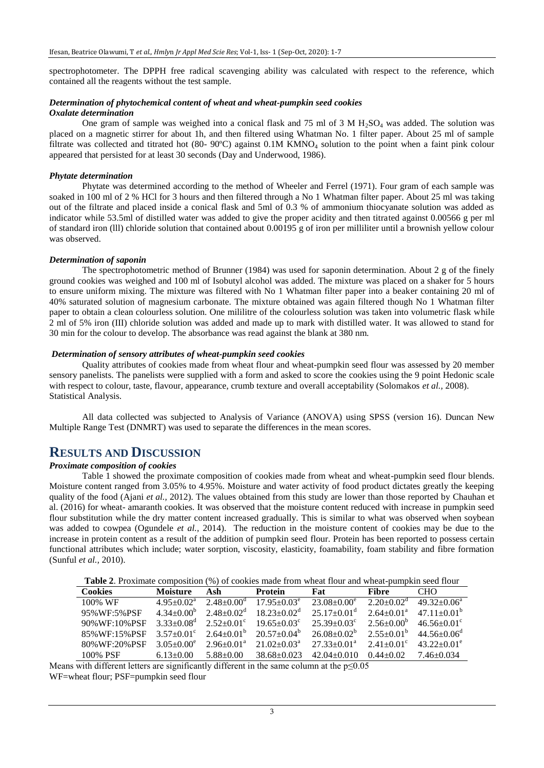spectrophotometer. The DPPH free radical scavenging ability was calculated with respect to the reference, which contained all the reagents without the test sample.

#### *Determination of phytochemical content of wheat and wheat-pumpkin seed cookies Oxalate determination*

One gram of sample was weighed into a conical flask and 75 ml of 3 M  $H_2SO_4$  was added. The solution was placed on a magnetic stirrer for about 1h, and then filtered using Whatman No. 1 filter paper. About 25 ml of sample filtrate was collected and titrated hot (80- 90°C) against 0.1M KMNO<sub>4</sub> solution to the point when a faint pink colour appeared that persisted for at least 30 seconds (Day and Underwood, 1986).

#### *Phytate determination*

Phytate was determined according to the method of Wheeler and Ferrel (1971). Four gram of each sample was soaked in 100 ml of 2 % HCl for 3 hours and then filtered through a No 1 Whatman filter paper. About 25 ml was taking out of the filtrate and placed inside a conical flask and 5ml of 0.3 % of ammonium thiocyanate solution was added as indicator while 53.5ml of distilled water was added to give the proper acidity and then titrated against 0.00566 g per ml of standard iron (lll) chloride solution that contained about 0.00195 g of iron per milliliter until a brownish yellow colour was observed.

#### *Determination of saponin*

The spectrophotometric method of Brunner (1984) was used for saponin determination. About 2 g of the finely ground cookies was weighed and 100 ml of Isobutyl alcohol was added. The mixture was placed on a shaker for 5 hours to ensure uniform mixing. The mixture was filtered with No 1 Whatman filter paper into a beaker containing 20 ml of 40% saturated solution of magnesium carbonate. The mixture obtained was again filtered though No 1 Whatman filter paper to obtain a clean colourless solution. One mililitre of the colourless solution was taken into volumetric flask while 2 ml of 5% iron (III) chloride solution was added and made up to mark with distilled water. It was allowed to stand for 30 min for the colour to develop. The absorbance was read against the blank at 380 nm.

#### *Determination of sensory attributes of wheat-pumpkin seed cookies*

Quality attributes of cookies made from wheat flour and wheat-pumpkin seed flour was assessed by 20 member sensory panelists. The panelists were supplied with a form and asked to score the cookies using the 9 point Hedonic scale with respect to colour, taste, flavour, appearance, crumb texture and overall acceptability (Solomakos *et al.,* 2008). Statistical Analysis.

All data collected was subjected to Analysis of Variance (ANOVA) using SPSS (version 16). Duncan New Multiple Range Test (DNMRT) was used to separate the differences in the mean scores.

### **RESULTS AND DISCUSSION**

#### *Proximate composition of cookies*

Table 1 showed the proximate composition of cookies made from wheat and wheat-pumpkin seed flour blends. Moisture content ranged from 3.05% to 4.95%. Moisture and water activity of food product dictates greatly the keeping quality of the food (Ajani *et al.,* 2012). The values obtained from this study are lower than those reported by Chauhan et al. (2016) for wheat- amaranth cookies. It was observed that the moisture content reduced with increase in pumpkin seed flour substitution while the dry matter content increased gradually. This is similar to what was observed when soybean was added to cowpea (Ogundele *et al.*, 2014). The reduction in the moisture content of cookies may be due to the increase in protein content as a result of the addition of pumpkin seed flour. Protein has been reported to possess certain functional attributes which include; water sorption, viscosity, elasticity, foamability, foam stability and fibre formation (Sunful *et al.,* 2010).

|--|

| <b>Cookies</b> | <b>Moisture</b>              | Ash                     | <b>Protein</b>           | Fat                       | Fibre                   | <b>CHO</b>               |
|----------------|------------------------------|-------------------------|--------------------------|---------------------------|-------------------------|--------------------------|
| 100% WF        | $4.95+0.02^a$                | $2.48 + 0.00^{\circ}$   | $17.95 \pm 0.03^e$       | $23.08 + 0.00^e$          | $2.20+0.02^{\circ}$     | $49.32 + 0.06^a$         |
| 95%WF:5%PSF    | $4.34+0.00b$                 | $2.48 \pm 0.02^{\rm d}$ | $18.23 \pm 0.02^{\circ}$ | $25.17+0.01^{\mathrm{d}}$ | $2.64+0.01^a$           | $4711+0.01b$             |
| 90% WF:10% PSF | $3.33 \pm 0.08$ <sup>d</sup> | $2.52+0.01^{\circ}$     | $19.65 + 0.03^{\circ}$   | $25.39 + 0.03^{\circ}$    | $2.56 \pm 0.00^{\circ}$ | $46.56 \pm 0.01^{\circ}$ |
| 85% WF:15% PSF | $3.57+0.01^{\circ}$          | $2.64 \pm 0.01^{\circ}$ | $20.57+0.04^{\circ}$     | $26.08 + 0.02^b$          | $2.55+0.01^b$           | $44.56 + 0.06^{\circ}$   |
| 80%WF:20%PSF   | $3.05 + 0.00^e$              | $2.96 \pm 0.01^{\circ}$ | $21.02 + 0.03a$          | $27.33 \pm 0.01^{\circ}$  | $2.41 + 0.01^{\circ}$   | $43.22 \pm 0.01^e$       |
| 100% PSF       | $6.13 \pm 0.00$              | $5.88 + 0.00$           | $38.68 + 0.023$          | $42.04 \pm 0.010$         | $0.44 + 0.02$           | 7.46+0.034               |

Means with different letters are significantly different in the same column at the  $p \leq 0.05$ 

WF=wheat flour; PSF=pumpkin seed flour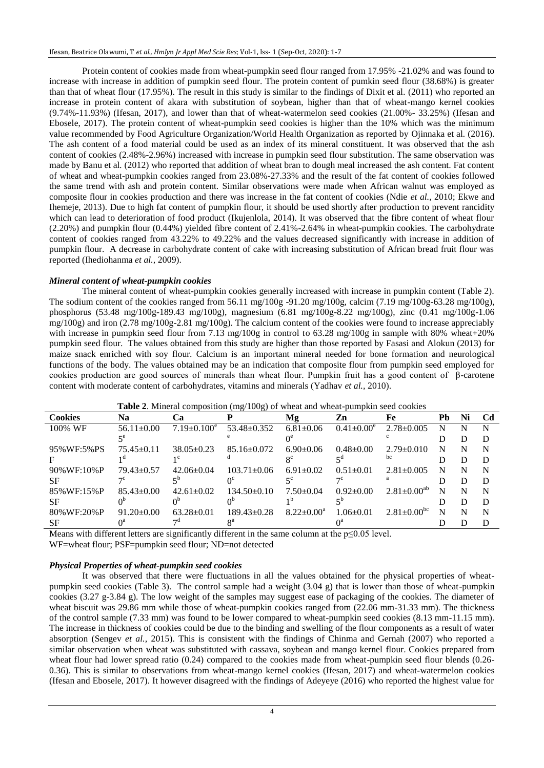Protein content of cookies made from wheat-pumpkin seed flour ranged from 17.95% -21.02% and was found to increase with increase in addition of pumpkin seed flour. The protein content of pumkin seed flour (38.68%) is greater than that of wheat flour (17.95%). The result in this study is similar to the findings of Dixit et al*.* (2011) who reported an increase in protein content of akara with substitution of soybean, higher than that of wheat-mango kernel cookies (9.74%-11.93%) (Ifesan, 2017), and lower than that of wheat-watermelon seed cookies (21.00%- 33.25%) (Ifesan and Ebosele, 2017). The protein content of wheat-pumpkin seed cookies is higher than the 10% which was the minimum value recommended by Food Agriculture Organization/World Health Organization as reported by Ojinnaka et al*.* (2016). The ash content of a food material could be used as an index of its mineral constituent. It was observed that the ash content of cookies (2.48%-2.96%) increased with increase in pumpkin seed flour substitution. The same observation was made by Banu et al*.* (2012) who reported that addition of wheat bran to dough meal increased the ash content. Fat content of wheat and wheat-pumpkin cookies ranged from 23.08%-27.33% and the result of the fat content of cookies followed the same trend with ash and protein content. Similar observations were made when African walnut was employed as composite flour in cookies production and there was increase in the fat content of cookies (Ndie *et al.,* 2010; Ekwe and Ihemeje, 2013). Due to high fat content of pumpkin flour, it should be used shortly after production to prevent rancidity which can lead to deterioration of food product (Ikujenlola, 2014). It was observed that the fibre content of wheat flour (2.20%) and pumpkin flour (0.44%) yielded fibre content of 2.41%-2.64% in wheat-pumpkin cookies. The carbohydrate content of cookies ranged from 43.22% to 49.22% and the values decreased significantly with increase in addition of pumpkin flour. A decrease in carbohydrate content of cake with increasing substitution of African bread fruit flour was reported (Ihediohanma *et al.,* 2009).

#### *Mineral content of wheat-pumpkin cookies*

The mineral content of wheat-pumpkin cookies generally increased with increase in pumpkin content (Table 2). The sodium content of the cookies ranged from 56.11 mg/100g -91.20 mg/100g, calcim (7.19 mg/100g-63.28 mg/100g), phosphorus (53.48 mg/100g-189.43 mg/100g), magnesium (6.81 mg/100g-8.22 mg/100g), zinc (0.41 mg/100g-1.06 mg/100g) and iron (2.78 mg/100g-2.81 mg/100g). The calcium content of the cookies were found to increase appreciably with increase in pumpkin seed flour from 7.13 mg/100g in control to 63.28 mg/100g in sample with 80% wheat+20% pumpkin seed flour. The values obtained from this study are higher than those reported by Fasasi and Alokun (2013) for maize snack enriched with soy flour. Calcium is an important mineral needed for bone formation and neurological functions of the body. The values obtained may be an indication that composite flour from pumpkin seed employed for cookies production are good sources of minerals than wheat flour. Pumpkin fruit has a good content of β-carotene content with moderate content of carbohydrates, vitamins and minerals (Yadhav *et al.,* 2010).

|                     |                  |                    | <b>Those <math>\blacksquare</math>.</b> Thinking composition $\binom{m}{k}$ 100 $\lhd$ 701 when the when pumplim seed coolities |                   |                   |                          |    |    |    |
|---------------------|------------------|--------------------|---------------------------------------------------------------------------------------------------------------------------------|-------------------|-------------------|--------------------------|----|----|----|
| <b>Cookies</b>      | <b>Na</b>        | Ca                 |                                                                                                                                 | Mg                | Zn                | Fe                       | Pb | Ni | Cd |
| 100% WF             | $56.11 \pm 0.00$ | $7.19 \pm 0.100^e$ | $53.48 \pm 0.352$                                                                                                               | $6.81 \pm 0.06$   | $0.41 \pm 0.00^e$ | $2.78 \pm 0.005$         |    |    | N  |
|                     |                  |                    |                                                                                                                                 |                   |                   |                          |    |    | Ð  |
| 95% WF: 5% PS       | $75.45\pm0.11$   | $38.05 \pm 0.23$   | $85.16 \pm 0.072$                                                                                                               | $6.90\pm0.06$     | $0.48 + 0.00$     | $2.79 \pm 0.010$         | N  |    | N  |
|                     |                  |                    |                                                                                                                                 |                   |                   | bc                       |    |    | D  |
| $90\%$ WF: $10\%$ P | $79.43 \pm 0.57$ | $42.06 \pm 0.04$   | $103.71 \pm 0.06$                                                                                                               | $6.91 \pm 0.02$   | $0.51 \pm 0.01$   | $2.81 \pm 0.005$         | N  |    | N  |
| <b>SF</b>           |                  |                    |                                                                                                                                 |                   |                   |                          |    |    | D  |
| 85% WF:15% P        | $85.43 \pm 0.00$ | $42.61 \pm 0.02$   | $134.50\pm0.10$                                                                                                                 | $7.50 \pm 0.04$   | $0.92 \pm 0.00$   | $2.81 \pm 0.00^{ab}$     | N  |    | N  |
| <b>SF</b>           |                  |                    |                                                                                                                                 |                   |                   |                          |    |    | D  |
| 80% WF: 20% P       | $91.20 \pm 0.00$ | $63.28 \pm 0.01$   | $189.43 \pm 0.28$                                                                                                               | $8.22 \pm 0.00^a$ | $1.06 \pm 0.01$   | $2.81 \pm 0.00^{\rm bc}$ | N  |    | N  |
| <b>SF</b>           | ∩ä               |                    | оä                                                                                                                              |                   |                   |                          |    |    | D  |

**Table 2**. Mineral composition (mg/100g) of wheat and wheat-pumpkin seed cookies

Means with different letters are significantly different in the same column at the  $p \le 0.05$  level.

WF=wheat flour; PSF=pumpkin seed flour; ND=not detected

#### *Physical Properties of wheat-pumpkin seed cookies*

It was observed that there were fluctuations in all the values obtained for the physical properties of wheatpumpkin seed cookies (Table 3). The control sample had a weight (3.04 g) that is lower than those of wheat-pumpkin cookies (3.27 g-3.84 g). The low weight of the samples may suggest ease of packaging of the cookies. The diameter of wheat biscuit was 29.86 mm while those of wheat-pumpkin cookies ranged from  $(22.06 \text{ mm}-31.33 \text{ mm})$ . The thickness of the control sample (7.33 mm) was found to be lower compared to wheat-pumpkin seed cookies (8.13 mm-11.15 mm). The increase in thickness of cookies could be due to the binding and swelling of the flour components as a result of water absorption (Sengev *et al.,* 2015). This is consistent with the findings of Chinma and Gernah (2007) who reported a similar observation when wheat was substituted with cassava, soybean and mango kernel flour. Cookies prepared from wheat flour had lower spread ratio (0.24) compared to the cookies made from wheat-pumpkin seed flour blends (0.26-0.36). This is similar to observations from wheat-mango kernel cookies (Ifesan, 2017) and wheat-watermelon cookies (Ifesan and Ebosele, 2017). It however disagreed with the findings of Adeyeye (2016) who reported the highest value for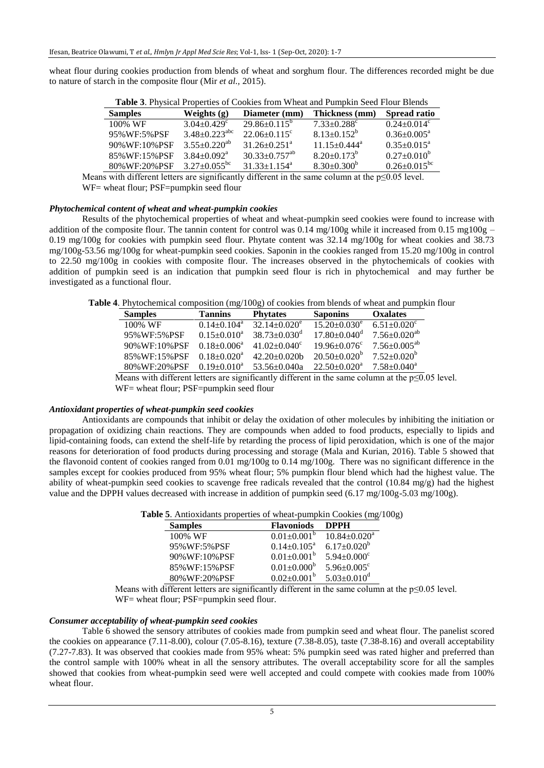wheat flour during cookies production from blends of wheat and sorghum flour. The differences recorded might be due to nature of starch in the composite flour (Mir *et al.,* 2015).

| <b>Table 5.</b> I hysical I topernes of Cookies from Wheat and I unipkin Seculi from Bichus |                                 |                                 |                                |                               |  |  |  |  |
|---------------------------------------------------------------------------------------------|---------------------------------|---------------------------------|--------------------------------|-------------------------------|--|--|--|--|
| <b>Samples</b>                                                                              | Weights $(g)$                   | Diameter (mm)                   | Thickness (mm)                 | Spread ratio                  |  |  |  |  |
| 100% WF                                                                                     | $3.04 + 0.429$ <sup>c</sup>     | $29.86 \pm 0.115^{\circ}$       | $7.33 \pm 0.288$ <sup>c</sup>  | $0.24 \pm 0.014$ <sup>c</sup> |  |  |  |  |
| 95% WF: 5% PSF                                                                              | $3.48 \pm 0.223$ <sup>abc</sup> | $22.06 \pm 0.115$ °             | $8.13 \pm 0.152^b$             | $0.36 \pm 0.005^{\text{a}}$   |  |  |  |  |
| 90% WF: 10% PSF                                                                             | $3.55 \pm 0.220^{ab}$           | $31.26 \pm 0.251$ <sup>a</sup>  | $11.15 \pm 0.444$ <sup>a</sup> | $0.35 \pm 0.015^{\circ}$      |  |  |  |  |
| 85% WF:15% PSF                                                                              | $3.84 + 0.092^a$                | $30.33 \pm 0.757$ <sup>ab</sup> | $8.20 \pm 0.173^b$             | $0.27 \pm 0.010^b$            |  |  |  |  |
| 80%WF:20%PSF                                                                                | $3.27 \pm 0.055$ <sup>bc</sup>  | $31.33 \pm 1.154$ <sup>a</sup>  | $8.30 \pm 0.300^b$             | $0.26 \pm 0.015^{bc}$         |  |  |  |  |

**Table 3**. Physical Properties of Cookies from Wheat and Pumpkin Seed Flour Blends

Means with different letters are significantly different in the same column at the  $p \le 0.05$  level. WF= wheat flour; PSF=pumpkin seed flour

#### *Phytochemical content of wheat and wheat-pumpkin cookies*

Results of the phytochemical properties of wheat and wheat-pumpkin seed cookies were found to increase with addition of the composite flour. The tannin content for control was 0.14 mg/100g while it increased from 0.15 mg100g – 0.19 mg/100g for cookies with pumpkin seed flour. Phytate content was 32.14 mg/100g for wheat cookies and 38.73 mg/100g-53.56 mg/100g for wheat-pumpkin seed cookies. Saponin in the cookies ranged from 15.20 mg/100g in control to 22.50 mg/100g in cookies with composite flour. The increases observed in the phytochemicals of cookies with addition of pumpkin seed is an indication that pumpkin seed flour is rich in phytochemical and may further be investigated as a functional flour.

**Table 4**. Phytochemical composition (mg/100g) of cookies from blends of wheat and pumpkin flour

| <b>Samples</b> | <b>Tannins</b>   | <b>Phytates</b>                | <b>Saponins</b>                | <b>Oxalates</b>                |
|----------------|------------------|--------------------------------|--------------------------------|--------------------------------|
| 100% WF        | $0.14+0.104^a$   | $32.14 + 0.020^e$              | $15.20 \pm 0.030^e$            | $6.51 \pm 0.020$ <sup>c</sup>  |
| 95% WF:5% PSF  | $0.15+0.010^a$   | $38.73 \pm 0.030$ <sup>d</sup> | $17.80 \pm 0.040$ <sup>d</sup> | $7.56 \pm 0.020$ <sup>ab</sup> |
| 90% WF:10% PSF | $0.18 + 0.006^a$ | $41.02 + 0.040^{\circ}$        | $19.96 \pm 0.076$ <sup>c</sup> | $7.56 \pm 0.005^{ab}$          |
| 85% WF:15% PSF | $0.18 + 0.020^a$ | $42.20 \pm 0.020$              | $20.50 \pm 0.020^{\circ}$      | $7.52 \pm 0.020^{\rm b}$       |
| 80% WF:20% PSF | $0.19 + 0.010^a$ | $53.56 \pm 0.040a$             | $22.50 \pm 0.020^{\circ}$      | $7.58 \pm 0.040^a$             |

Means with different letters are significantly different in the same column at the p≤0.05 level. WF= wheat flour; PSF=pumpkin seed flour

#### *Antioxidant properties of wheat-pumpkin seed cookies*

Antioxidants are compounds that inhibit or delay the oxidation of other molecules by inhibiting the initiation or propagation of oxidizing chain reactions. They are compounds when added to food products, especially to lipids and lipid-containing foods, can extend the shelf-life by retarding the process of lipid peroxidation, which is one of the major reasons for deterioration of food products during processing and storage (Mala and Kurian, 2016). Table 5 showed that the flavonoid content of cookies ranged from 0.01 mg/100g to 0.14 mg/100g. There was no significant difference in the samples except for cookies produced from 95% wheat flour; 5% pumpkin flour blend which had the highest value. The ability of wheat-pumpkin seed cookies to scavenge free radicals revealed that the control  $(10.84 \text{ mg/g})$  had the highest value and the DPPH values decreased with increase in addition of pumpkin seed (6.17 mg/100g-5.03 mg/100g).

**Table 5**. Antioxidants properties of wheat-pumpkin Cookies (mg/100g)

| <b>Samples</b> | <b>Flavoniods</b>           | <b>DPPH</b>                    |
|----------------|-----------------------------|--------------------------------|
| 100% WF        | $0.01 \pm 0.001^b$          | $10.84 \pm 0.020$ <sup>a</sup> |
| 95%WF:5%PSF    | $0.14 \pm 0.105^{\text{a}}$ | $6.17 \pm 0.020^b$             |
| 90% WF:10% PSF | $0.01 \pm 0.001^b$          | $5.94 \pm 0.000$ <sup>c</sup>  |
| 85% WF:15% PSF | $0.01 \pm 0.000^b$          | $5.96 \pm 0.005$ <sup>c</sup>  |
| 80%WF:20%PSF   | $0.02 + 0.001^b$            | $5.03 \pm 0.010$ <sup>d</sup>  |

Means with different letters are significantly different in the same column at the p≤0.05 level. WF= wheat flour; PSF=pumpkin seed flour.

#### *Consumer acceptability of wheat-pumpkin seed cookies*

Table 6 showed the sensory attributes of cookies made from pumpkin seed and wheat flour. The panelist scored the cookies on appearance (7.11-8.00), colour (7.05-8.16), texture (7.38-8.05), taste (7.38-8.16) and overall acceptability (7.27-7.83). It was observed that cookies made from 95% wheat: 5% pumpkin seed was rated higher and preferred than the control sample with 100% wheat in all the sensory attributes. The overall acceptability score for all the samples showed that cookies from wheat-pumpkin seed were well accepted and could compete with cookies made from 100% wheat flour.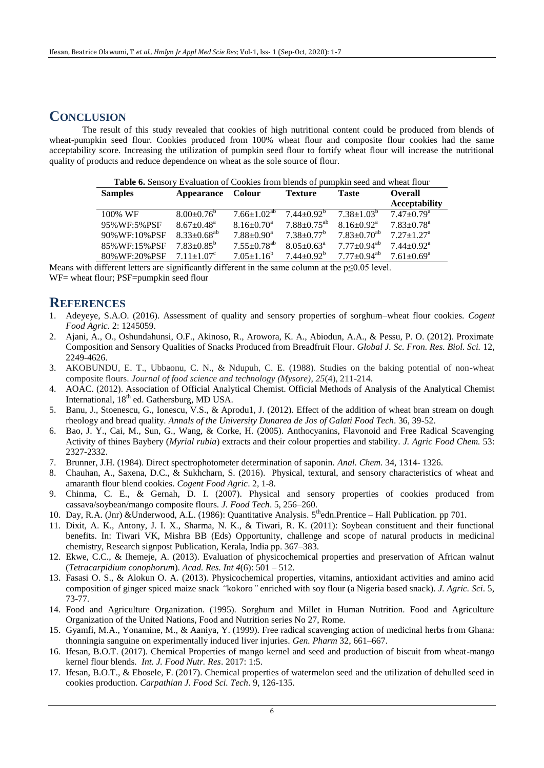### **CONCLUSION**

The result of this study revealed that cookies of high nutritional content could be produced from blends of wheat-pumpkin seed flour. Cookies produced from 100% wheat flour and composite flour cookies had the same acceptability score. Increasing the utilization of pumpkin seed flour to fortify wheat flour will increase the nutritional quality of products and reduce dependence on wheat as the sole source of flour.

| Table 6. Sensory Evaluation of Cookies from blends of pumpkin seed and wheat flour |                              |                               |                               |                               |                              |  |  |
|------------------------------------------------------------------------------------|------------------------------|-------------------------------|-------------------------------|-------------------------------|------------------------------|--|--|
| <b>Samples</b>                                                                     | Appearance Colour            |                               | <b>Texture</b>                | <b>Taste</b>                  | <b>Overall</b>               |  |  |
|                                                                                    |                              |                               |                               |                               | <b>Acceptability</b>         |  |  |
| 100% WF                                                                            | $8.00 \pm 0.76^{\circ}$      | $7.66 \pm 1.02^{ab}$          | $7.44+0.92^b$                 | $7.38 + 1.03^b$               | $7.47 \pm 0.79$ <sup>a</sup> |  |  |
| 95% WF: 5% PSF                                                                     | $8.67 \pm 0.48$ <sup>a</sup> | $8.16 \pm 0.70$ <sup>a</sup>  | $7.88 \pm 0.75$ <sup>ab</sup> | $8.16 \pm 0.92$ <sup>a</sup>  | $7.83 \pm 0.78$ <sup>a</sup> |  |  |
| 90% WF:10% PSF                                                                     | $8.33 \pm 0.68^{ab}$         | $7.88 \pm 0.90^a$             | $7.38 \pm 0.77$ <sup>b</sup>  | $7.83 + 0.70^{ab}$            | $7.27 \pm 1.27$ <sup>a</sup> |  |  |
| 85% WF:15% PSF                                                                     | $7.83 \pm 0.85^b$            | $7.55 \pm 0.78$ <sup>ab</sup> | $8.05 \pm 0.63^{\text{a}}$    | $7.77+0.94^{ab}$              | $7.44 \pm 0.92$ <sup>a</sup> |  |  |
| 80% WF:20% PSF                                                                     | $7.11 + 1.07^c$              | $7.05 \pm 1.16^b$             | $7.44 + 0.92^b$               | $7.77 \pm 0.94$ <sup>ab</sup> | $7.61 \pm 0.69^{\mathrm{a}}$ |  |  |

Means with different letters are significantly different in the same column at the  $p \le 0.05$  level.

WF= wheat flour; PSF=pumpkin seed flour

### **REFERENCES**

- 1. Adeyeye, S.A.O. (2016). Assessment of quality and sensory properties of sorghum–wheat flour cookies. *Cogent Food Agric.* 2: 1245059.
- 2. Ajani, A., O., Oshundahunsi, O.F., Akinoso, R., Arowora, K. A., Abiodun, A.A., & Pessu, P. O. (2012). Proximate Composition and Sensory Qualities of Snacks Produced from Breadfruit Flour. *Global J. Sc. Fron. Res. Biol. Sci.* 12, 2249-4626.
- 3. AKOBUNDU, E. T., Ubbaonu, C. N., & Ndupuh, C. E. (1988). Studies on the baking potential of non-wheat composite flours. *Journal of food science and technology (Mysore)*, *25*(4), 211-214.
- 4. AOAC. (2012). Association of Official Analytical Chemist. Official Methods of Analysis of the Analytical Chemist International, 18<sup>th</sup> ed. Gathersburg, MD USA.
- 5. Banu, J., Stoenescu, G., Ionescu, V.S., & Aprodu1, J. (2012). Effect of the addition of wheat bran stream on dough rheology and bread quality. *Annals of the University Dunarea de Jos of Galati Food Tech*. 36, 39-52.
- 6. Bao, J. Y., Cai, M., Sun, G., Wang, & Corke, H. (2005). Anthocyanins, Flavonoid and Free Radical Scavenging Activity of thines Baybery (*Myrial rubia*) extracts and their colour properties and stability. *J. Agric Food Chem.* 53: 2327-2332.
- 7. Brunner, J.H. (1984). Direct spectrophotometer determination of saponin. *Anal. Chem.* 34, 1314- 1326.
- 8. Chauhan, A., Saxena, D.C., & Sukhcharn, S. (2016). Physical, textural, and sensory characteristics of wheat and amaranth flour blend cookies. *Cogent Food Agric*. 2, 1-8.
- 9. Chinma, C. E., & Gernah, D. I. (2007). Physical and sensory properties of cookies produced from cassava/soybean/mango composite flours. *J. Food Tech*. 5, 256–260.
- 10. Day, R.A. (Jnr) & Underwood, A.L. (1986): Quantitative Analysis. 5<sup>th</sup>edn.Prentice Hall Publication. pp 701.
- 11. Dixit, A. K., Antony, J. I. X., Sharma, N. K., & Tiwari, R. K. (2011): Soybean constituent and their functional benefits. In: Tiwari VK, Mishra BB (Eds) Opportunity, challenge and scope of natural products in medicinal chemistry, Research signpost Publication, Kerala, India pp. 367–383.
- 12. Ekwe, C.C., & Ihemeje, A. (2013). Evaluation of physicochemical properties and preservation of African walnut (*Tetracarpidium conophorum*). *Acad. Res. Int 4*(6): 501 – 512.
- 13. Fasasi O. S., & Alokun O. A. (2013). Physicochemical properties, vitamins, antioxidant activities and amino acid composition of ginger spiced maize snack *"*kokoro*"* enriched with soy flour (a Nigeria based snack). *J. Agric. Sci*. 5, 73-77.
- 14. Food and Agriculture Organization. (1995). Sorghum and Millet in Human Nutrition. Food and Agriculture Organization of the United Nations, Food and Nutrition series No 27, Rome.
- 15. Gyamfi, M.A., Yonamine, M., & Aaniya, Y. (1999). Free radical scavenging action of medicinal herbs from Ghana: thonningia sanguine on experimentally induced liver injuries. *Gen. Pharm* 32, 661–667.
- 16. Ifesan, B.O.T. (2017). Chemical Properties of mango kernel and seed and production of biscuit from wheat-mango kernel flour blends. *Int. J. Food Nutr. Res*. 2017: 1:5.
- 17. Ifesan, B.O.T., & Ebosele, F. (2017). Chemical properties of watermelon seed and the utilization of dehulled seed in cookies production. *Carpathian J. Food Sci. Tech*. 9, 126-135.